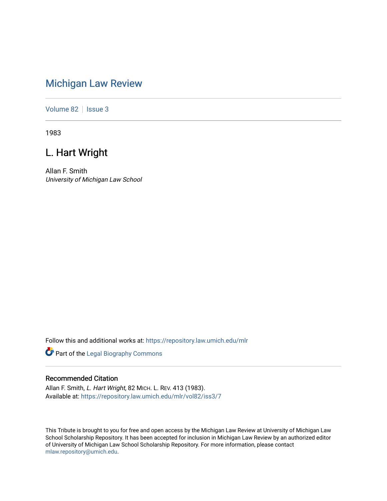## [Michigan Law Review](https://repository.law.umich.edu/mlr)

[Volume 82](https://repository.law.umich.edu/mlr/vol82) | [Issue 3](https://repository.law.umich.edu/mlr/vol82/iss3)

1983

# L. Hart Wright

Allan F. Smith University of Michigan Law School

Follow this and additional works at: [https://repository.law.umich.edu/mlr](https://repository.law.umich.edu/mlr?utm_source=repository.law.umich.edu%2Fmlr%2Fvol82%2Fiss3%2F7&utm_medium=PDF&utm_campaign=PDFCoverPages) 

Part of the [Legal Biography Commons](http://network.bepress.com/hgg/discipline/834?utm_source=repository.law.umich.edu%2Fmlr%2Fvol82%2Fiss3%2F7&utm_medium=PDF&utm_campaign=PDFCoverPages) 

#### Recommended Citation

Allan F. Smith, L. Hart Wright, 82 MICH. L. REV. 413 (1983). Available at: [https://repository.law.umich.edu/mlr/vol82/iss3/7](https://repository.law.umich.edu/mlr/vol82/iss3/7?utm_source=repository.law.umich.edu%2Fmlr%2Fvol82%2Fiss3%2F7&utm_medium=PDF&utm_campaign=PDFCoverPages)

This Tribute is brought to you for free and open access by the Michigan Law Review at University of Michigan Law School Scholarship Repository. It has been accepted for inclusion in Michigan Law Review by an authorized editor of University of Michigan Law School Scholarship Repository. For more information, please contact [mlaw.repository@umich.edu.](mailto:mlaw.repository@umich.edu)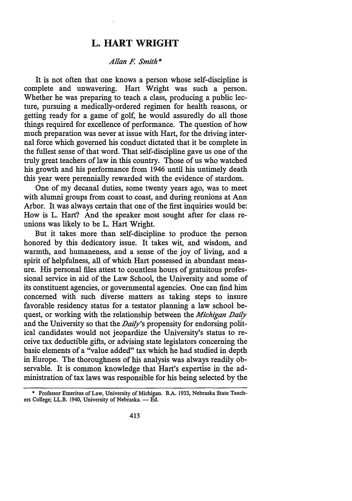### **L. HART WRIGHT**

#### *Allan F. Smith\**

It is not often that one knows a person whose self-discipline is complete and unwavering. Hart Wright was such a person. Whether he was preparing to teach a class, producing a public lecture, pursuing a medically-ordered regimen for health reasons, or getting ready for a game of golf, he would assuredly do all those things required for excellence of performance. The question of how much preparation was never at issue with Hart, for the driving internal force which governed his conduct dictated that it be complete in the fullest sense of that word. That self-discipline gave us one of the truly great teachers of law in this country. Those of us who watched his growth and his performance from 1946 until his untimely death this year were perennially rewarded with the evidence of stardom.

One of my decanal duties, some twenty years ago, was to meet with alumni groups from coast to coast, and during reunions at Ann Arbor. It was always certain that one of the first inquiries would be: How is L. Hart? And the speaker most sought after for class reunions was likely to be L. Hart Wright.

But it takes more than self-discipline to produce the person honored by this dedicatory issue. It takes wit, and wisdom, and warmth, and humaneness, and a sense of the joy of living, and a spirit of helpfulness, all of which Hart possessed in abundant measure. His personal files attest to countless hours of gratuitous professional service in aid of the Law School, the University and some of its constituent agencies, or governmental agencies. One can find him concerned with such diverse matters as taking steps to insure favorable residency status for a testator planning a law school bequest, or working with the relationship between the *Michigan Daily* and the University so that the *Daily's* propensity for endorsing political candidates would not jeopardize the University's status to receive tax deductible gifts, or advising state legislators concerning the basic elements of a "value added" tax which he had studied in depth in Europe. The thoroughness of his analysis was always readily observable. It is common knowledge that Hart's expertise in the administration of tax laws was responsible for his being selected by the

<sup>•</sup> Professor Emeritus of Law, University of Michigan. B.A. 1933, Nebraska State Teachers College; LL.B. 1940, University of Nebraska. - Ed.